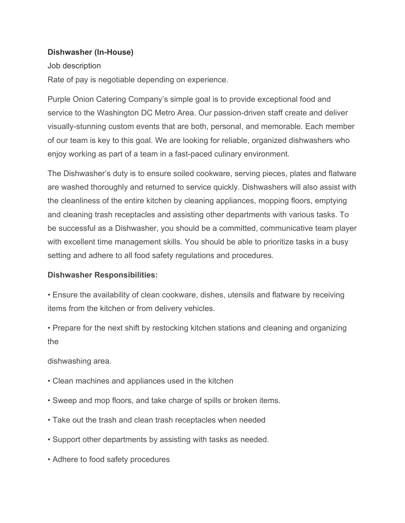## **Dishwasher (In-House)**

## Job description

Rate of pay is negotiable depending on experience.

Purple Onion Catering Company's simple goal is to provide exceptional food and service to the Washington DC Metro Area. Our passion-driven staff create and deliver visually-stunning custom events that are both, personal, and memorable. Each member of our team is key to this goal. We are looking for reliable, organized dishwashers who enjoy working as part of a team in a fast-paced culinary environment.

The Dishwasher's duty is to ensure soiled cookware, serving pieces, plates and flatware are washed thoroughly and returned to service quickly. Dishwashers will also assist with the cleanliness of the entire kitchen by cleaning appliances, mopping floors, emptying and cleaning trash receptacles and assisting other departments with various tasks. To be successful as a Dishwasher, you should be a committed, communicative team player with excellent time management skills. You should be able to prioritize tasks in a busy setting and adhere to all food safety regulations and procedures.

## **Dishwasher Responsibilities:**

• Ensure the availability of clean cookware, dishes, utensils and flatware by receiving items from the kitchen or from delivery vehicles.

• Prepare for the next shift by restocking kitchen stations and cleaning and organizing the

dishwashing area.

- Clean machines and appliances used in the kitchen
- Sweep and mop floors, and take charge of spills or broken items.
- Take out the trash and clean trash receptacles when needed
- Support other departments by assisting with tasks as needed.
- Adhere to food safety procedures